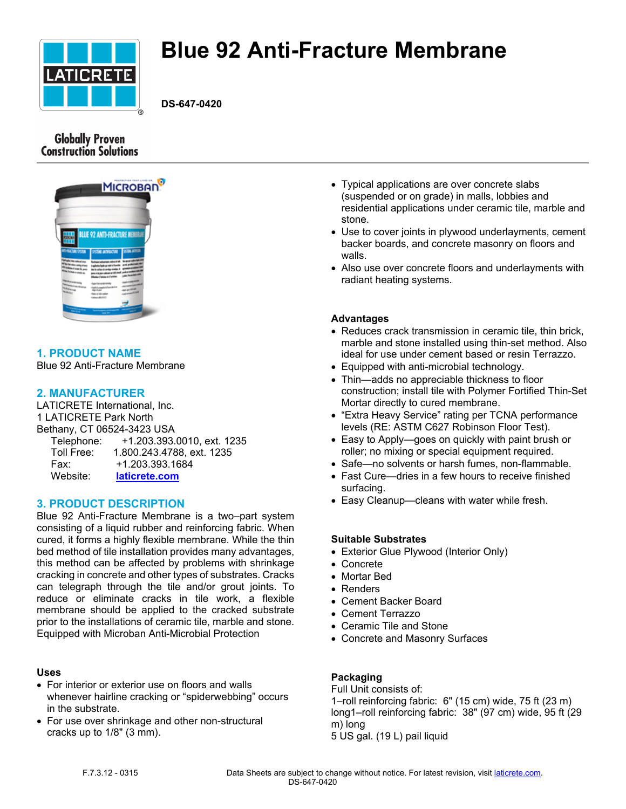

# **Blue 92 Anti-Fracture Membrane**

**DS-647-0420**

# **Globally Proven Construction Solutions**



# **1. PRODUCT NAME**

Blue 92 Anti-Fracture Membrane

## **2. MANUFACTURER**

LATICRETE International, Inc. 1 LATICRETE Park North Bethany, CT 06524-3423 USA Telephone: +1.203.393.0010, ext. 1235 Toll Free: 1.800.243.4788, ext. 1235

| Fax:     | +1.203.393.1684 |
|----------|-----------------|
| Website: | laticrete.com   |

## **3. PRODUCT DESCRIPTION**

Blue 92 Anti-Fracture Membrane is a two–part system consisting of a liquid rubber and reinforcing fabric. When cured, it forms a highly flexible membrane. While the thin bed method of tile installation provides many advantages, this method can be affected by problems with shrinkage cracking in concrete and other types of substrates. Cracks can telegraph through the tile and/or grout joints. To reduce or eliminate cracks in tile work, a flexible membrane should be applied to the cracked substrate prior to the installations of ceramic tile, marble and stone. Equipped with Microban Anti-Microbial Protection

#### **Uses**

- For interior or exterior use on floors and walls whenever hairline cracking or "spiderwebbing" occurs in the substrate.
- For use over shrinkage and other non-structural cracks up to 1/8" (3 mm).
- Typical applications are over concrete slabs (suspended or on grade) in malls, lobbies and residential applications under ceramic tile, marble and stone.
- Use to cover joints in plywood underlayments, cement backer boards, and concrete masonry on floors and walls.
- Also use over concrete floors and underlayments with radiant heating systems.

## **Advantages**

- Reduces crack transmission in ceramic tile, thin brick, marble and stone installed using thin-set method. Also ideal for use under cement based or resin Terrazzo.
- Equipped with anti-microbial technology.
- Thin—adds no appreciable thickness to floor construction; install tile with Polymer Fortified Thin-Set Mortar directly to cured membrane.
- "Extra Heavy Service" rating per TCNA performance levels (RE: ASTM C627 Robinson Floor Test).
- Easy to Apply—goes on quickly with paint brush or roller; no mixing or special equipment required.
- Safe—no solvents or harsh fumes, non-flammable.
- Fast Cure—dries in a few hours to receive finished surfacing.
- Easy Cleanup—cleans with water while fresh.

## **Suitable Substrates**

- Exterior Glue Plywood (Interior Only)
- Concrete
- Mortar Bed
- Renders
- Cement Backer Board
- Cement Terrazzo
- Ceramic Tile and Stone
- Concrete and Masonry Surfaces

# **Packaging**

Full Unit consists of: 1–roll reinforcing fabric: 6" (15 cm) wide, 75 ft (23 m) long1–roll reinforcing fabric: 38" (97 cm) wide, 95 ft (29 m) long 5 US gal. (19 L) pail liquid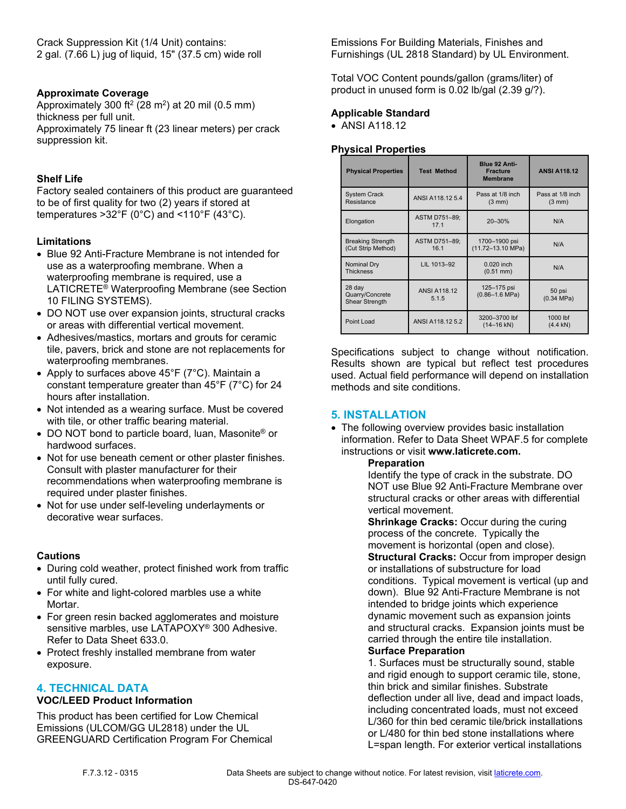Crack Suppression Kit (1/4 Unit) contains: 2 gal. (7.66 L) jug of liquid, 15" (37.5 cm) wide roll

## **Approximate Coverage**

Approximately 300 ft<sup>2</sup> (28 m<sup>2</sup>) at 20 mil (0.5 mm) thickness per full unit. Approximately 75 linear ft (23 linear meters) per crack suppression kit.

## **Shelf Life**

Factory sealed containers of this product are guaranteed to be of first quality for two (2) years if stored at temperatures >32°F (0°C) and <110°F (43°C).

## **Limitations**

- Blue 92 Anti-Fracture Membrane is not intended for use as a waterproofing membrane. When a waterproofing membrane is required, use a LATICRETE® Waterproofing Membrane (see Section 10 FILING SYSTEMS).
- DO NOT use over expansion joints, structural cracks or areas with differential vertical movement.
- Adhesives/mastics, mortars and grouts for ceramic tile, pavers, brick and stone are not replacements for waterproofing membranes.
- Apply to surfaces above 45°F (7°C). Maintain a constant temperature greater than 45°F (7°C) for 24 hours after installation.
- Not intended as a wearing surface. Must be covered with tile, or other traffic bearing material.
- DO NOT bond to particle board, luan, Masonite<sup>®</sup> or hardwood surfaces.
- Not for use beneath cement or other plaster finishes. Consult with plaster manufacturer for their recommendations when waterproofing membrane is required under plaster finishes.
- Not for use under self-leveling underlayments or decorative wear surfaces.

## **Cautions**

- During cold weather, protect finished work from traffic until fully cured.
- For white and light-colored marbles use a white Mortar.
- For green resin backed agglomerates and moisture sensitive marbles, use LATAPOXY® 300 Adhesive. Refer to Data Sheet 633.0.
- Protect freshly installed membrane from water exposure.

## **4. TECHNICAL DATA**

## **VOC/LEED Product Information**

This product has been certified for Low Chemical Emissions (ULCOM/GG UL2818) under the UL GREENGUARD Certification Program For Chemical Emissions For Building Materials, Finishes and Furnishings (UL 2818 Standard) by UL Environment.

Total VOC Content pounds/gallon (grams/liter) of product in unused form is 0.02 lb/gal (2.39 g/?).

## **Applicable Standard**

• ANSI A118.12

## **Physical Properties**

| <b>Physical Properties</b>                     | <b>Test Method</b>           | Blue 92 Anti-<br><b>Fracture</b><br><b>Membrane</b> | <b>ANSI A118.12</b>                  |
|------------------------------------------------|------------------------------|-----------------------------------------------------|--------------------------------------|
| <b>System Crack</b><br>Resistance              | ANSI A118.12 5.4             | Pass at 1/8 inch<br>$(3 \text{ mm})$                | Pass at 1/8 inch<br>$(3 \text{ mm})$ |
| Elongation                                     | ASTM D751-89;<br>17.1        | $20 - 30%$                                          | N/A                                  |
| <b>Breaking Strength</b><br>(Cut Strip Method) | <b>ASTM D751-89:</b><br>16.1 | 1700-1900 psi<br>(11.72-13.10 MPa)                  | N/A                                  |
| Nominal Dry<br><b>Thickness</b>                | LIL 1013-92                  | $0.020$ inch<br>$(0.51$ mm)                         | N/A                                  |
| 28 day<br>Quarry/Concrete<br>Shear Strength    | <b>ANSI A118.12</b><br>5.1.5 | 125-175 psi<br>$(0.86 - 1.6$ MPa)                   | 50 psi<br>$(0.34 \text{ MPa})$       |
| Point Load                                     | ANSI A118.12 5.2             | 3200-3700 lbf<br>$(14 - 16$ kN)                     | 1000 lbf<br>(4.4 kN)                 |

Specifications subject to change without notification. Results shown are typical but reflect test procedures used. Actual field performance will depend on installation methods and site conditions.

## **5. INSTALLATION**

 The following overview provides basic installation information. Refer to Data Sheet WPAF.5 for complete instructions or visit **www.laticrete.com.**

#### **Preparation**

Identify the type of crack in the substrate. DO NOT use Blue 92 Anti-Fracture Membrane over structural cracks or other areas with differential vertical movement.

**Shrinkage Cracks:** Occur during the curing process of the concrete. Typically the movement is horizontal (open and close). **Structural Cracks:** Occur from improper design or installations of substructure for load conditions. Typical movement is vertical (up and down). Blue 92 Anti-Fracture Membrane is not intended to bridge joints which experience dynamic movement such as expansion joints and structural cracks. Expansion joints must be carried through the entire tile installation. **Surface Preparation**

1. Surfaces must be structurally sound, stable and rigid enough to support ceramic tile, stone, thin brick and similar finishes. Substrate deflection under all live, dead and impact loads, including concentrated loads, must not exceed L/360 for thin bed ceramic tile/brick installations or L/480 for thin bed stone installations where L=span length. For exterior vertical installations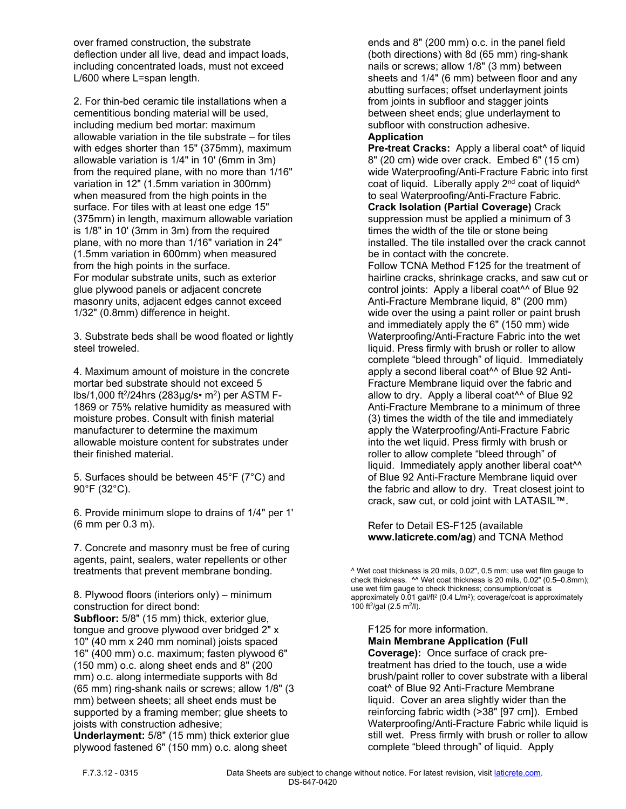over framed construction, the substrate deflection under all live, dead and impact loads, including concentrated loads, must not exceed L/600 where L=span length.

2. For thin-bed ceramic tile installations when a cementitious bonding material will be used, including medium bed mortar: maximum allowable variation in the tile substrate – for tiles with edges shorter than 15" (375mm), maximum allowable variation is 1/4" in 10' (6mm in 3m) from the required plane, with no more than 1/16" variation in 12" (1.5mm variation in 300mm) when measured from the high points in the surface. For tiles with at least one edge 15" (375mm) in length, maximum allowable variation is 1/8" in 10' (3mm in 3m) from the required plane, with no more than 1/16" variation in 24" (1.5mm variation in 600mm) when measured from the high points in the surface. For modular substrate units, such as exterior glue plywood panels or adjacent concrete masonry units, adjacent edges cannot exceed 1/32" (0.8mm) difference in height.

3. Substrate beds shall be wood floated or lightly steel troweled.

4. Maximum amount of moisture in the concrete mortar bed substrate should not exceed 5 lbs/1,000 ft<sup>2</sup>/24hrs (283µg/s• m<sup>2</sup>) per ASTM F-1869 or 75% relative humidity as measured with moisture probes. Consult with finish material manufacturer to determine the maximum allowable moisture content for substrates under their finished material.

5. Surfaces should be between 45°F (7°C) and 90°F (32°C).

6. Provide minimum slope to drains of 1/4" per 1' (6 mm per 0.3 m).

7. Concrete and masonry must be free of curing agents, paint, sealers, water repellents or other treatments that prevent membrane bonding.

8. Plywood floors (interiors only) – minimum construction for direct bond:

**Subfloor:** 5/8" (15 mm) thick, exterior glue, tongue and groove plywood over bridged 2" x 10" (40 mm x 240 mm nominal) joists spaced 16" (400 mm) o.c. maximum; fasten plywood 6" (150 mm) o.c. along sheet ends and 8" (200 mm) o.c. along intermediate supports with 8d (65 mm) ring-shank nails or screws; allow 1/8" (3 mm) between sheets; all sheet ends must be supported by a framing member; glue sheets to joists with construction adhesive;

**Underlayment:** 5/8" (15 mm) thick exterior glue plywood fastened 6" (150 mm) o.c. along sheet

ends and 8" (200 mm) o.c. in the panel field (both directions) with 8d (65 mm) ring-shank nails or screws; allow 1/8" (3 mm) between sheets and 1/4" (6 mm) between floor and any abutting surfaces; offset underlayment joints from joints in subfloor and stagger joints between sheet ends; glue underlayment to subfloor with construction adhesive.

## **Application**

**Pre-treat Cracks:** Apply a liberal coat<sup>^</sup> of liquid 8" (20 cm) wide over crack. Embed 6" (15 cm) wide Waterproofing/Anti-Fracture Fabric into first coat of liquid. Liberally apply 2<sup>nd</sup> coat of liquid<sup>^</sup> to seal Waterproofing/Anti-Fracture Fabric. **Crack Isolation (Partial Coverage)** Crack suppression must be applied a minimum of 3 times the width of the tile or stone being installed. The tile installed over the crack cannot be in contact with the concrete.

Follow TCNA Method F125 for the treatment of hairline cracks, shrinkage cracks, and saw cut or control joints: Apply a liberal coat^^ of Blue 92 Anti-Fracture Membrane liquid, 8" (200 mm) wide over the using a paint roller or paint brush and immediately apply the 6" (150 mm) wide Waterproofing/Anti-Fracture Fabric into the wet liquid. Press firmly with brush or roller to allow complete "bleed through" of liquid. Immediately apply a second liberal coat^^ of Blue 92 Anti-Fracture Membrane liquid over the fabric and allow to dry. Apply a liberal coat^^ of Blue 92 Anti-Fracture Membrane to a minimum of three (3) times the width of the tile and immediately apply the Waterproofing/Anti-Fracture Fabric into the wet liquid. Press firmly with brush or roller to allow complete "bleed through" of liquid. Immediately apply another liberal coat<sup>^^</sup> of Blue 92 Anti-Fracture Membrane liquid over the fabric and allow to dry. Treat closest joint to crack, saw cut, or cold joint with LATASIL™.

#### Refer to Detail ES-F125 (available **www.laticrete.com/ag**) and TCNA Method

^ Wet coat thickness is 20 mils, 0.02", 0.5 mm; use wet film gauge to check thickness. ^^ Wet coat thickness is 20 mils, 0.02" (0.5–0.8mm); use wet film gauge to check thickness; consumption/coat is approximately  $0.01$  gal/ft<sup>2</sup> (0.4 L/m<sup>2</sup>); coverage/coat is approximately 100 ft<sup>2</sup>/gal (2.5 m<sup>2</sup>/l).

F125 for more information.

**Main Membrane Application (Full Coverage):** Once surface of crack pretreatment has dried to the touch, use a wide brush/paint roller to cover substrate with a liberal coat^ of Blue 92 Anti-Fracture Membrane liquid. Cover an area slightly wider than the reinforcing fabric width (>38" [97 cm]). Embed Waterproofing/Anti-Fracture Fabric while liquid is still wet. Press firmly with brush or roller to allow complete "bleed through" of liquid. Apply